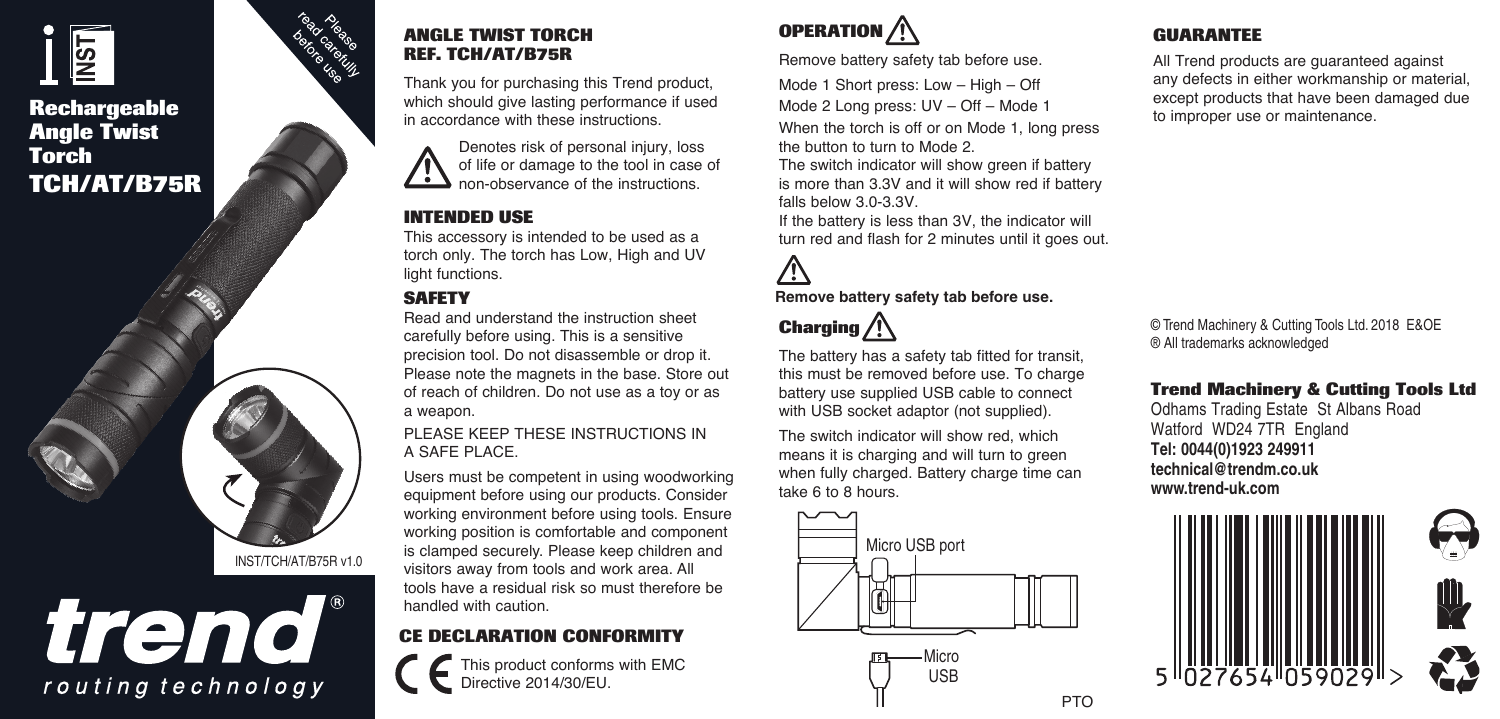# <u>ISN</u>

### **Rechargeable Angle Twist Torch TCH/AT/B75R**



routing technology

### **ANGLE TWIST TORCH REF. TCH/AT/B75R**

Thank you for purchasing this Trend product, which should give lasting performance if used in accordance with these instructions.

> Denotes risk of personal injury, loss of life or damage to the tool in case of non-observance of the instructions.

### **INTENDED USE**

This accessory is intended to be used as a torch only. The torch has Low, High and UV light functions.

### **SAFETY**

Read and understand the instruction sheet carefully before using. This is a sensitive precision tool. Do not disassemble or drop it. Please note the magnets in the base. Store out of reach of children. Do not use as a toy or as a weapon.

PLEASE KEEP THESE INSTRUCTIONS IN A SAFE PLACE.

Users must be competent in using woodworking equipment before using our products. Consider working environment before using tools. Ensure working position is comfortable and component is clamped securely. Please keep children and visitors away from tools and work area. All tools have a residual risk so must therefore be handled with caution.

### **CE DECLARATION CONFORMITY**

This product conforms with EMC Directive 2014/30/EU.

## **OPERATION**

Remove battery safety tab before use.

Mode 1 Short press: Low – High – Off Mode 2 Long press: UV – Off – Mode 1 When the torch is off or on Mode 1, long press the button to turn to Mode 2.

The switch indicator will show green if battery is more than 3.3V and it will show red if battery falls below 3.0-3.3V.

If the battery is less than 3V, the indicator will turn red and flash for 2 minutes until it goes out.

### **Remove battery safety tab before use.**

### **Charging**

The battery has a safety tab fitted for transit, this must be removed before use. To charge battery use supplied USB cable to connect with USB socket adaptor (not supplied).

The switch indicator will show red, which means it is charging and will turn to green when fully charged. Battery charge time can take 6 to 8 hours.



**Micro** USB

### **GUARANTEE**

All Trend products are guaranteed against any defects in either workmanship or material, except products that have been damaged due to improper use or maintenance.

© Trend Machinery & Cutting Tools Ltd. 2018 E&OE ® All trademarks acknowledged

### **Trend Machinery & Cutting Tools Ltd**

Odhams Trading Estate St Albans Road Watford WD24 7TR England **Tel: 0044(0)1923 249911 technical@trendm.co.uk www.trend-uk.com**